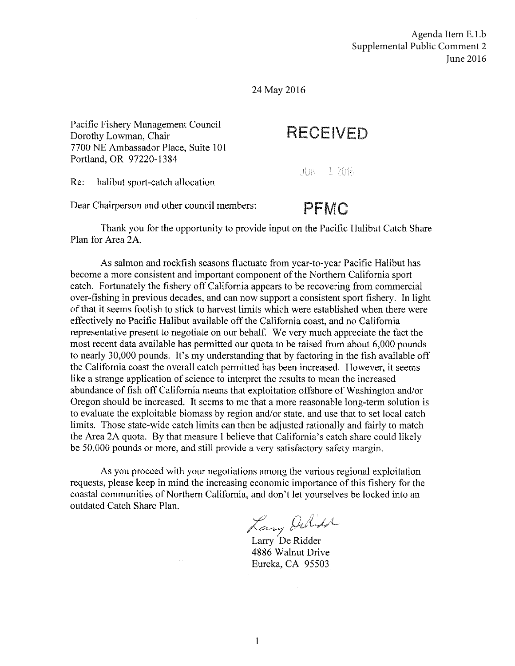Agenda Item E.1.b Supplemental Public Comment 2 June 2016

24 May 2016

Pacific Fishery Management Council Dorothy Lowman, Chair 7700 NE Ambassador Place, Suite 101 Portland, OR 97220-1384

## **RECEIVED**

 $JUN = 12016$ 

Re: halibut sport-catch allocation

Dear Chairperson and other council members:

## **PFMC**

Thank you for the opportunity to provide input on the Pacific Halibut Catch Share Plan for Area 2A.

As salmon and rockfish seasons fluctuate from year-to-year Pacific Halibut has become a more consistent and important component of the Northern California sport catch. Fortunately the fishery off California appears to be recovering from commercial over-fishing in previous decades, and can now support a consistent sport fishery. In light of that it seems foolish to stick to harvest limits which were established when there were effectively no Pacific Halibut available off the California coast, and no California representative present to negotiate on our behalf. We very much appreciate the fact the most recent data available has permitted our quota to be raised from about 6,000 pounds to nearly 30,000 pounds. It's my understanding that by factoring in the fish available off the California coast the overall catch permitted has been increased. However, it seems like a strange application of science to interpret the results to mean the increased abundance of fish off California means that exploitation offshore of Washington and/or Oregon should be increased. It seems to me that a more reasonable long-term solution is to evaluate the exploitable biomass by region and/or state, and use that to set local catch limits. Those state-wide catch limits can then be adjusted rationally and fairly to match the Area 2A quota. By that measure I believe that California's catch share could likely be 50,000 pounds or more, and still provide a very satisfactory safety margin.

As you proceed with your negotiations among the various regional exploitation requests, please keep in mind the increasing economic importance of this fishery for the coastal communities of Northern California, and don't let yourselves be locked into an outdated Catch Share Plan.

Larry Oulid

4886 Walnut Drive Eureka, CA 95503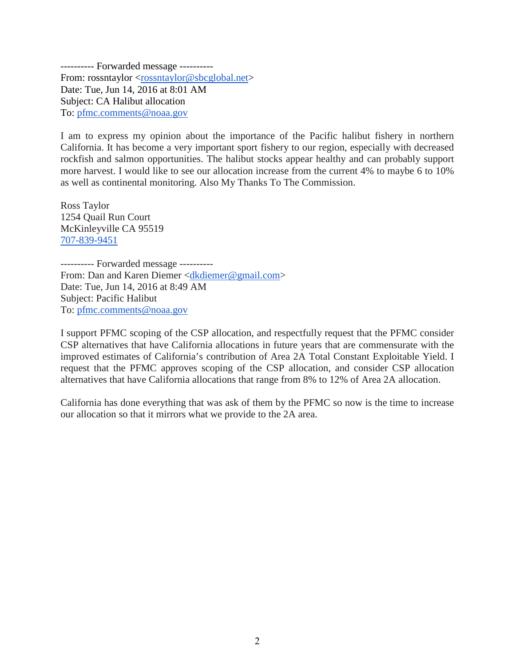---------- Forwarded message ---------- From: rossntaylor [<rossntaylor@sbcglobal.net>](mailto:rossntaylor@sbcglobal.net) Date: Tue, Jun 14, 2016 at 8:01 AM Subject: CA Halibut allocation To: [pfmc.comments@noaa.gov](mailto:pfmc.comments@noaa.gov)

I am to express my opinion about the importance of the Pacific halibut fishery in northern California. It has become a very important sport fishery to our region, especially with decreased rockfish and salmon opportunities. The halibut stocks appear healthy and can probably support more harvest. I would like to see our allocation increase from the current 4% to maybe 6 to 10% as well as continental monitoring. Also My Thanks To The Commission.

Ross Taylor 1254 Quail Run Court McKinleyville CA 95519 [707-839-9451](tel:707-839-9451)

---------- Forwarded message ---------- From: Dan and Karen Diemer [<dkdiemer@gmail.com>](mailto:dkdiemer@gmail.com) Date: Tue, Jun 14, 2016 at 8:49 AM Subject: Pacific Halibut To: [pfmc.comments@noaa.gov](mailto:pfmc.comments@noaa.gov)

I support PFMC scoping of the CSP allocation, and respectfully request that the PFMC consider CSP alternatives that have California allocations in future years that are commensurate with the improved estimates of California's contribution of Area 2A Total Constant Exploitable Yield. I request that the PFMC approves scoping of the CSP allocation, and consider CSP allocation alternatives that have California allocations that range from 8% to 12% of Area 2A allocation.

California has done everything that was ask of them by the PFMC so now is the time to increase our allocation so that it mirrors what we provide to the 2A area.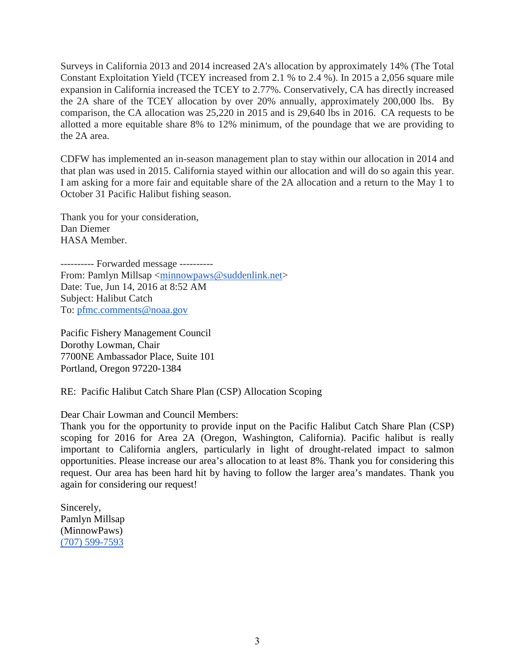Surveys in California 2013 and 2014 increased 2A's allocation by approximately 14% (The Total Constant Exploitation Yield (TCEY increased from 2.1 % to 2.4 %). In 2015 a 2,056 square mile expansion in California increased the TCEY to 2.77%. Conservatively, CA has directly increased the 2A share of the TCEY allocation by over 20% annually, approximately 200,000 lbs. By comparison, the CA allocation was 25,220 in 2015 and is 29,640 lbs in 2016. CA requests to be allotted a more equitable share 8% to 12% minimum, of the poundage that we are providing to the 2A area.

CDFW has implemented an in-season management plan to stay within our allocation in 2014 and that plan was used in 2015. California stayed within our allocation and will do so again this year. I am asking for a more fair and equitable share of the 2A allocation and a return to the May 1 to October 31 Pacific Halibut fishing season.

Thank you for your consideration, Dan Diemer HASA Member.

---------- Forwarded message ---------- From: Pamlyn Millsap [<minnowpaws@suddenlink.net>](mailto:minnowpaws@suddenlink.net) Date: Tue, Jun 14, 2016 at 8:52 AM Subject: Halibut Catch To: [pfmc.comments@noaa.gov](mailto:pfmc.comments@noaa.gov)

Pacific Fishery Management Council Dorothy Lowman, Chair 7700NE Ambassador Place, Suite 101 Portland, Oregon 97220‐1384

RE: Pacific Halibut Catch Share Plan (CSP) Allocation Scoping

Dear Chair Lowman and Council Members:

Thank you for the opportunity to provide input on the Pacific Halibut Catch Share Plan (CSP) scoping for 2016 for Area 2A (Oregon, Washington, California). Pacific halibut is really important to California anglers, particularly in light of drought-related impact to salmon opportunities. Please increase our area's allocation to at least 8%. Thank you for considering this request. Our area has been hard hit by having to follow the larger area's mandates. Thank you again for considering our request!

Sincerely, Pamlyn Millsap (MinnowPaws) [\(707\) 599-7593](tel:%28707%29%20599-7593)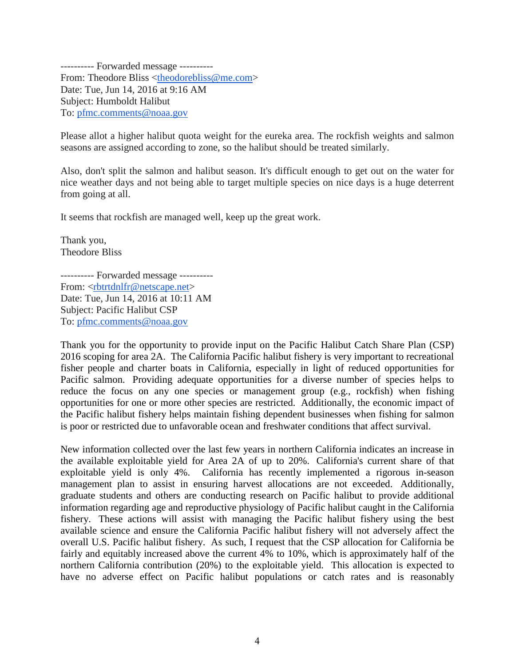---------- Forwarded message ---------- From: Theodore Bliss [<theodorebliss@me.com>](mailto:theodorebliss@me.com) Date: Tue, Jun 14, 2016 at 9:16 AM Subject: Humboldt Halibut To: [pfmc.comments@noaa.gov](mailto:pfmc.comments@noaa.gov)

Please allot a higher halibut quota weight for the eureka area. The rockfish weights and salmon seasons are assigned according to zone, so the halibut should be treated similarly.

Also, don't split the salmon and halibut season. It's difficult enough to get out on the water for nice weather days and not being able to target multiple species on nice days is a huge deterrent from going at all.

It seems that rockfish are managed well, keep up the great work.

Thank you, Theodore Bliss

---------- Forwarded message ---------- From: [<rbtrtdnlfr@netscape.net>](mailto:rbtrtdnlfr@netscape.net) Date: Tue, Jun 14, 2016 at 10:11 AM Subject: Pacific Halibut CSP To: [pfmc.comments@noaa.gov](mailto:pfmc.comments@noaa.gov)

Thank you for the opportunity to provide input on the Pacific Halibut Catch Share Plan (CSP) 2016 scoping for area 2A. The California Pacific halibut fishery is very important to recreational fisher people and charter boats in California, especially in light of reduced opportunities for Pacific salmon. Providing adequate opportunities for a diverse number of species helps to reduce the focus on any one species or management group (e.g., rockfish) when fishing opportunities for one or more other species are restricted. Additionally, the economic impact of the Pacific halibut fishery helps maintain fishing dependent businesses when fishing for salmon is poor or restricted due to unfavorable ocean and freshwater conditions that affect survival.

New information collected over the last few years in northern California indicates an increase in the available exploitable yield for Area 2A of up to 20%. California's current share of that exploitable yield is only 4%. California has recently implemented a rigorous in-season management plan to assist in ensuring harvest allocations are not exceeded. Additionally, graduate students and others are conducting research on Pacific halibut to provide additional information regarding age and reproductive physiology of Pacific halibut caught in the California fishery. These actions will assist with managing the Pacific halibut fishery using the best available science and ensure the California Pacific halibut fishery will not adversely affect the overall U.S. Pacific halibut fishery. As such, I request that the CSP allocation for California be fairly and equitably increased above the current 4% to 10%, which is approximately half of the northern California contribution (20%) to the exploitable yield. This allocation is expected to have no adverse effect on Pacific halibut populations or catch rates and is reasonably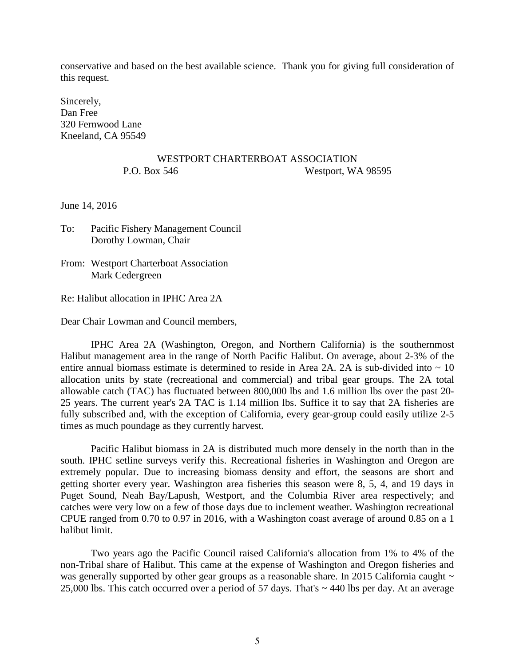conservative and based on the best available science. Thank you for giving full consideration of this request.

Sincerely, Dan Free 320 Fernwood Lane Kneeland, CA 95549

## WESTPORT CHARTERBOAT ASSOCIATION P.O. Box 546 Westport, WA 98595

June 14, 2016

To: Pacific Fishery Management Council Dorothy Lowman, Chair

From: Westport Charterboat Association Mark Cedergreen

Re: Halibut allocation in IPHC Area 2A

Dear Chair Lowman and Council members,

IPHC Area 2A (Washington, Oregon, and Northern California) is the southernmost Halibut management area in the range of North Pacific Halibut. On average, about 2-3% of the entire annual biomass estimate is determined to reside in Area 2A. 2A is sub-divided into  $\sim 10$ allocation units by state (recreational and commercial) and tribal gear groups. The 2A total allowable catch (TAC) has fluctuated between 800,000 lbs and 1.6 million lbs over the past 20- 25 years. The current year's 2A TAC is 1.14 million lbs. Suffice it to say that 2A fisheries are fully subscribed and, with the exception of California, every gear-group could easily utilize 2-5 times as much poundage as they currently harvest.

Pacific Halibut biomass in 2A is distributed much more densely in the north than in the south. IPHC setline surveys verify this. Recreational fisheries in Washington and Oregon are extremely popular. Due to increasing biomass density and effort, the seasons are short and getting shorter every year. Washington area fisheries this season were 8, 5, 4, and 19 days in Puget Sound, Neah Bay/Lapush, Westport, and the Columbia River area respectively; and catches were very low on a few of those days due to inclement weather. Washington recreational CPUE ranged from 0.70 to 0.97 in 2016, with a Washington coast average of around 0.85 on a 1 halibut limit.

Two years ago the Pacific Council raised California's allocation from 1% to 4% of the non-Tribal share of Halibut. This came at the expense of Washington and Oregon fisheries and was generally supported by other gear groups as a reasonable share. In 2015 California caught  $\sim$ 25,000 lbs. This catch occurred over a period of 57 days. That's ~ 440 lbs per day. At an average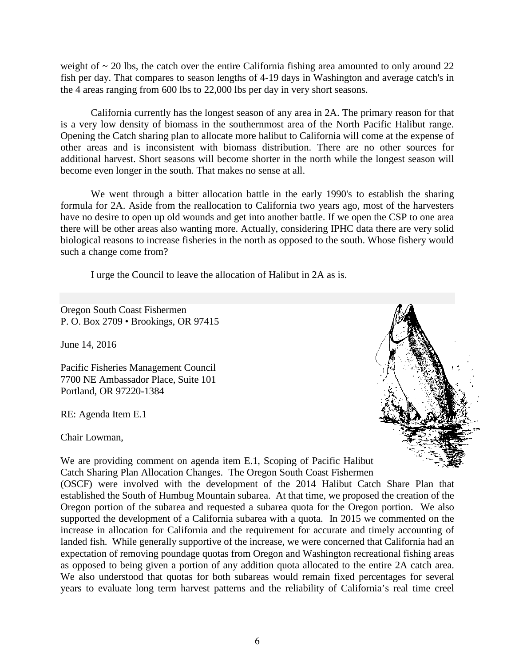weight of  $\sim$  20 lbs, the catch over the entire California fishing area amounted to only around 22 fish per day. That compares to season lengths of 4-19 days in Washington and average catch's in the 4 areas ranging from 600 lbs to 22,000 lbs per day in very short seasons.

California currently has the longest season of any area in 2A. The primary reason for that is a very low density of biomass in the southernmost area of the North Pacific Halibut range. Opening the Catch sharing plan to allocate more halibut to California will come at the expense of other areas and is inconsistent with biomass distribution. There are no other sources for additional harvest. Short seasons will become shorter in the north while the longest season will become even longer in the south. That makes no sense at all.

We went through a bitter allocation battle in the early 1990's to establish the sharing formula for 2A. Aside from the reallocation to California two years ago, most of the harvesters have no desire to open up old wounds and get into another battle. If we open the CSP to one area there will be other areas also wanting more. Actually, considering IPHC data there are very solid biological reasons to increase fisheries in the north as opposed to the south. Whose fishery would such a change come from?

I urge the Council to leave the allocation of Halibut in 2A as is.

Oregon South Coast Fishermen P. O. Box 2709 • Brookings, OR 97415

June 14, 2016

Pacific Fisheries Management Council 7700 NE Ambassador Place, Suite 101 Portland, OR 97220-1384

RE: Agenda Item E.1

Chair Lowman,



We are providing comment on agenda item E.1, Scoping of Pacific Halibut Catch Sharing Plan Allocation Changes. The Oregon South Coast Fishermen (OSCF) were involved with the development of the 2014 Halibut Catch Share Plan that established the South of Humbug Mountain subarea. At that time, we proposed the creation of the Oregon portion of the subarea and requested a subarea quota for the Oregon portion. We also supported the development of a California subarea with a quota. In 2015 we commented on the increase in allocation for California and the requirement for accurate and timely accounting of landed fish. While generally supportive of the increase, we were concerned that California had an

expectation of removing poundage quotas from Oregon and Washington recreational fishing areas as opposed to being given a portion of any addition quota allocated to the entire 2A catch area. We also understood that quotas for both subareas would remain fixed percentages for several years to evaluate long term harvest patterns and the reliability of California's real time creel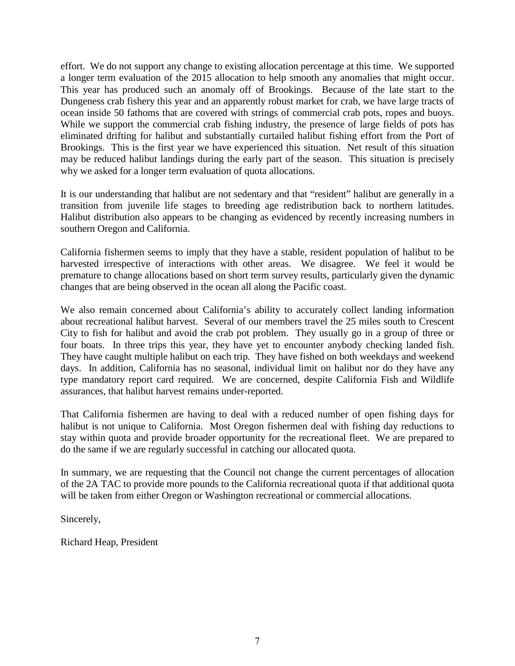effort. We do not support any change to existing allocation percentage at this time. We supported a longer term evaluation of the 2015 allocation to help smooth any anomalies that might occur. This year has produced such an anomaly off of Brookings. Because of the late start to the Dungeness crab fishery this year and an apparently robust market for crab, we have large tracts of ocean inside 50 fathoms that are covered with strings of commercial crab pots, ropes and buoys. While we support the commercial crab fishing industry, the presence of large fields of pots has eliminated drifting for halibut and substantially curtailed halibut fishing effort from the Port of Brookings. This is the first year we have experienced this situation. Net result of this situation may be reduced halibut landings during the early part of the season. This situation is precisely why we asked for a longer term evaluation of quota allocations.

It is our understanding that halibut are not sedentary and that "resident" halibut are generally in a transition from juvenile life stages to breeding age redistribution back to northern latitudes. Halibut distribution also appears to be changing as evidenced by recently increasing numbers in southern Oregon and California.

California fishermen seems to imply that they have a stable, resident population of halibut to be harvested irrespective of interactions with other areas. We disagree. We feel it would be premature to change allocations based on short term survey results, particularly given the dynamic changes that are being observed in the ocean all along the Pacific coast.

We also remain concerned about California's ability to accurately collect landing information about recreational halibut harvest. Several of our members travel the 25 miles south to Crescent City to fish for halibut and avoid the crab pot problem. They usually go in a group of three or four boats. In three trips this year, they have yet to encounter anybody checking landed fish. They have caught multiple halibut on each trip. They have fished on both weekdays and weekend days. In addition, California has no seasonal, individual limit on halibut nor do they have any type mandatory report card required. We are concerned, despite California Fish and Wildlife assurances, that halibut harvest remains under-reported.

That California fishermen are having to deal with a reduced number of open fishing days for halibut is not unique to California. Most Oregon fishermen deal with fishing day reductions to stay within quota and provide broader opportunity for the recreational fleet. We are prepared to do the same if we are regularly successful in catching our allocated quota.

In summary, we are requesting that the Council not change the current percentages of allocation of the 2A TAC to provide more pounds to the California recreational quota if that additional quota will be taken from either Oregon or Washington recreational or commercial allocations.

Sincerely,

Richard Heap, President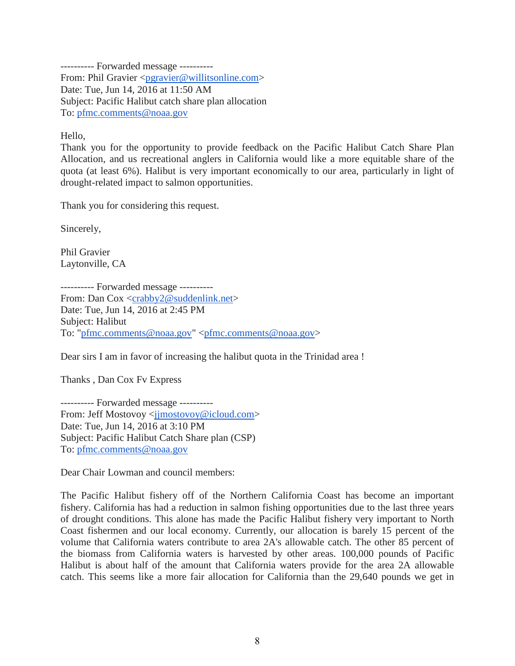---------- Forwarded message ---------- From: Phil Gravier [<pgravier@willitsonline.com>](mailto:pgravier@willitsonline.com) Date: Tue, Jun 14, 2016 at 11:50 AM Subject: Pacific Halibut catch share plan allocation To: [pfmc.comments@noaa.gov](mailto:pfmc.comments@noaa.gov)

Hello,

Thank you for the opportunity to provide feedback on the Pacific Halibut Catch Share Plan Allocation, and us recreational anglers in California would like a more equitable share of the quota (at least 6%). Halibut is very important economically to our area, particularly in light of drought-related impact to salmon opportunities.

Thank you for considering this request.

Sincerely,

Phil Gravier Laytonville, CA

---------- Forwarded message ---------- From: Dan Cox [<crabby2@suddenlink.net>](mailto:crabby2@suddenlink.net) Date: Tue, Jun 14, 2016 at 2:45 PM Subject: Halibut To: ["pfmc.comments@noaa.gov"](mailto:pfmc.comments@noaa.gov) [<pfmc.comments@noaa.gov>](mailto:pfmc.comments@noaa.gov)

Dear sirs I am in favor of increasing the halibut quota in the Trinidad area !

Thanks , Dan Cox Fv Express

---------- Forwarded message ---------- From: Jeff Mostovoy [<jjmostovoy@icloud.com>](mailto:jjmostovoy@icloud.com) Date: Tue, Jun 14, 2016 at 3:10 PM Subject: Pacific Halibut Catch Share plan (CSP) To: [pfmc.comments@noaa.gov](mailto:pfmc.comments@noaa.gov)

Dear Chair Lowman and council members:

The Pacific Halibut fishery off of the Northern California Coast has become an important fishery. California has had a reduction in salmon fishing opportunities due to the last three years of drought conditions. This alone has made the Pacific Halibut fishery very important to North Coast fishermen and our local economy. Currently, our allocation is barely 15 percent of the volume that California waters contribute to area 2A's allowable catch. The other 85 percent of the biomass from California waters is harvested by other areas. 100,000 pounds of Pacific Halibut is about half of the amount that California waters provide for the area 2A allowable catch. This seems like a more fair allocation for California than the 29,640 pounds we get in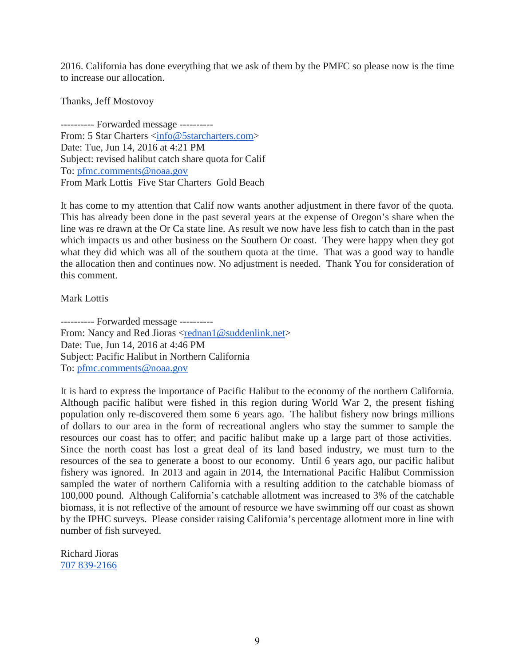2016. California has done everything that we ask of them by the PMFC so please now is the time to increase our allocation.

Thanks, Jeff Mostovoy

---------- Forwarded message ---------- From: 5 Star Charters [<info@5starcharters.com>](mailto:info@5starcharters.com) Date: Tue, Jun 14, 2016 at 4:21 PM Subject: revised halibut catch share quota for Calif To: [pfmc.comments@noaa.gov](mailto:pfmc.comments@noaa.gov) From Mark Lottis Five Star Charters Gold Beach

It has come to my attention that Calif now wants another adjustment in there favor of the quota. This has already been done in the past several years at the expense of Oregon's share when the line was re drawn at the Or Ca state line. As result we now have less fish to catch than in the past which impacts us and other business on the Southern Or coast. They were happy when they got what they did which was all of the southern quota at the time. That was a good way to handle the allocation then and continues now. No adjustment is needed. Thank You for consideration of this comment.

Mark Lottis

---------- Forwarded message ---------- From: Nancy and Red Jioras [<rednan1@suddenlink.net>](mailto:rednan1@suddenlink.net) Date: Tue, Jun 14, 2016 at 4:46 PM Subject: Pacific Halibut in Northern California To: [pfmc.comments@noaa.gov](mailto:pfmc.comments@noaa.gov)

It is hard to express the importance of Pacific Halibut to the economy of the northern California. Although pacific halibut were fished in this region during World War 2, the present fishing population only re-discovered them some 6 years ago. The halibut fishery now brings millions of dollars to our area in the form of recreational anglers who stay the summer to sample the resources our coast has to offer; and pacific halibut make up a large part of those activities. Since the north coast has lost a great deal of its land based industry, we must turn to the resources of the sea to generate a boost to our economy. Until 6 years ago, our pacific halibut fishery was ignored. In 2013 and again in 2014, the International Pacific Halibut Commission sampled the water of northern California with a resulting addition to the catchable biomass of 100,000 pound. Although California's catchable allotment was increased to 3% of the catchable biomass, it is not reflective of the amount of resource we have swimming off our coast as shown by the IPHC surveys. Please consider raising California's percentage allotment more in line with number of fish surveyed.

Richard Jioras [707 839-2166](tel:707%20839-2166)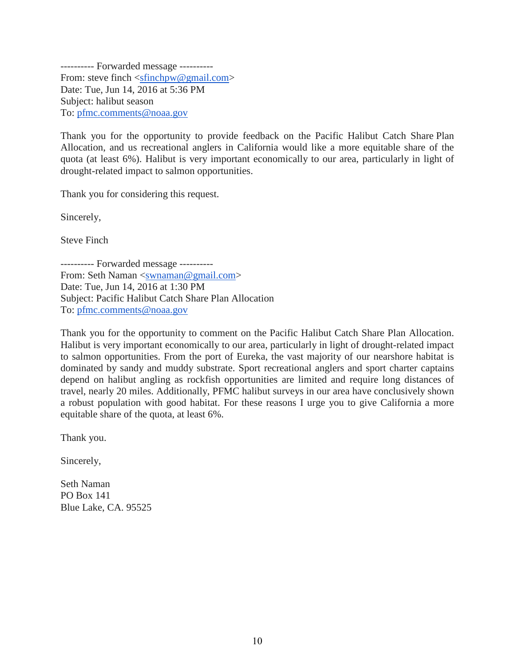---------- Forwarded message ---------- From: steve finch [<sfinchpw@gmail.com>](mailto:sfinchpw@gmail.com) Date: Tue, Jun 14, 2016 at 5:36 PM Subject: halibut season To: [pfmc.comments@noaa.gov](mailto:pfmc.comments@noaa.gov)

Thank you for the opportunity to provide feedback on the Pacific Halibut Catch Share Plan Allocation, and us recreational anglers in California would like a more equitable share of the quota (at least 6%). Halibut is very important economically to our area, particularly in light of drought-related impact to salmon opportunities.

Thank you for considering this request.

Sincerely,

Steve Finch

---------- Forwarded message ---------- From: Seth Naman [<swnaman@gmail.com>](mailto:swnaman@gmail.com) Date: Tue, Jun 14, 2016 at 1:30 PM Subject: Pacific Halibut Catch Share Plan Allocation To: [pfmc.comments@noaa.gov](mailto:pfmc.comments@noaa.gov)

Thank you for the opportunity to comment on the Pacific Halibut Catch Share Plan Allocation. Halibut is very important economically to our area, particularly in light of drought-related impact to salmon opportunities. From the port of Eureka, the vast majority of our nearshore habitat is dominated by sandy and muddy substrate. Sport recreational anglers and sport charter captains depend on halibut angling as rockfish opportunities are limited and require long distances of travel, nearly 20 miles. Additionally, PFMC halibut surveys in our area have conclusively shown a robust population with good habitat. For these reasons I urge you to give California a more equitable share of the quota, at least 6%.

Thank you.

Sincerely,

Seth Naman PO Box 141 Blue Lake, CA. 95525